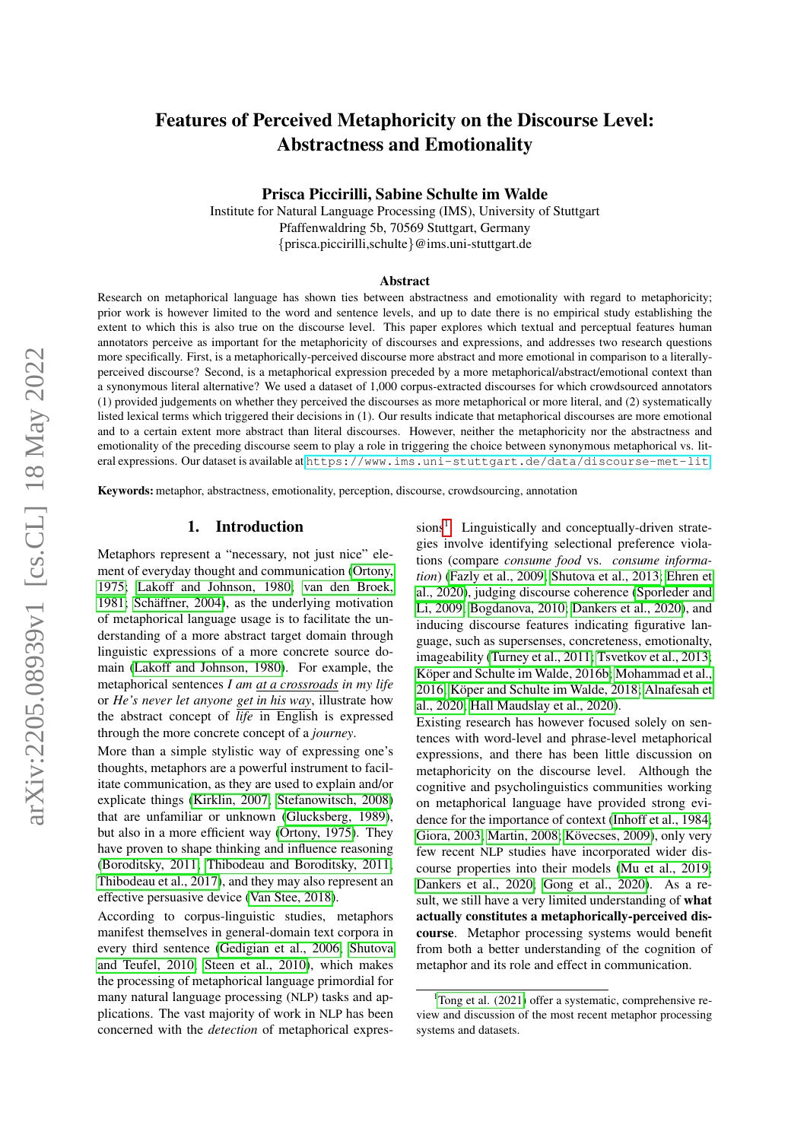# Features of Perceived Metaphoricity on the Discourse Level: Abstractness and Emotionality

Prisca Piccirilli, Sabine Schulte im Walde

Institute for Natural Language Processing (IMS), University of Stuttgart Pfaffenwaldring 5b, 70569 Stuttgart, Germany {prisca.piccirilli,schulte}@ims.uni-stuttgart.de

#### Abstract

Research on metaphorical language has shown ties between abstractness and emotionality with regard to metaphoricity; prior work is however limited to the word and sentence levels, and up to date there is no empirical study establishing the extent to which this is also true on the discourse level. This paper explores which textual and perceptual features human annotators perceive as important for the metaphoricity of discourses and expressions, and addresses two research questions more specifically. First, is a metaphorically-perceived discourse more abstract and more emotional in comparison to a literallyperceived discourse? Second, is a metaphorical expression preceded by a more metaphorical/abstract/emotional context than a synonymous literal alternative? We used a dataset of 1,000 corpus-extracted discourses for which crowdsourced annotators (1) provided judgements on whether they perceived the discourses as more metaphorical or more literal, and (2) systematically listed lexical terms which triggered their decisions in (1). Our results indicate that metaphorical discourses are more emotional and to a certain extent more abstract than literal discourses. However, neither the metaphoricity nor the abstractness and emotionality of the preceding discourse seem to play a role in triggering the choice between synonymous metaphorical vs. literal expressions. Our dataset is available at <https://www.ims.uni-stuttgart.de/data/discourse-met-lit>.

Keywords: metaphor, abstractness, emotionality, perception, discourse, crowdsourcing, annotation

#### 1. Introduction

Metaphors represent a "necessary, not just nice" element of everyday thought and communication [\(Ortony,](#page-9-0) [1975;](#page-9-0) [Lakoff and Johnson, 1980;](#page-9-1) [van den Broek,](#page-10-0) [1981;](#page-10-0) Schäffner, 2004), as the underlying motivation of metaphorical language usage is to facilitate the understanding of a more abstract target domain through linguistic expressions of a more concrete source domain [\(Lakoff and Johnson, 1980\)](#page-9-1). For example, the metaphorical sentences *I am at a crossroads in my life* or *He's never let anyone get in his way*, illustrate how the abstract concept of *life* in English is expressed through the more concrete concept of a *journey*.

More than a simple stylistic way of expressing one's thoughts, metaphors are a powerful instrument to facilitate communication, as they are used to explain and/or explicate things [\(Kirklin, 2007;](#page-9-3) [Stefanowitsch, 2008\)](#page-10-1) that are unfamiliar or unknown [\(Glucksberg, 1989\)](#page-8-0), but also in a more efficient way [\(Ortony, 1975\)](#page-9-0). They have proven to shape thinking and influence reasoning [\(Boroditsky, 2011;](#page-7-0) [Thibodeau and Boroditsky, 2011;](#page-10-2) [Thibodeau et al., 2017\)](#page-10-3), and they may also represent an effective persuasive device [\(Van Stee, 2018\)](#page-10-4).

According to corpus-linguistic studies, metaphors manifest themselves in general-domain text corpora in every third sentence [\(Gedigian et al., 2006;](#page-8-1) [Shutova](#page-9-4) [and Teufel, 2010;](#page-9-4) [Steen et al., 2010\)](#page-10-5), which makes the processing of metaphorical language primordial for many natural language processing (NLP) tasks and applications. The vast majority of work in NLP has been concerned with the *detection* of metaphorical expres-

sions<sup>[1](#page-0-0)</sup>. Linguistically and conceptually-driven strategies involve identifying selectional preference violations (compare *consume food* vs. *consume information*) [\(Fazly et al., 2009;](#page-8-2) [Shutova et al., 2013;](#page-9-5) [Ehren et](#page-8-3) [al., 2020\)](#page-8-3), judging discourse coherence [\(Sporleder and](#page-10-6) [Li, 2009;](#page-10-6) [Bogdanova, 2010;](#page-7-1) [Dankers et al., 2020\)](#page-8-4), and inducing discourse features indicating figurative language, such as supersenses, concreteness, emotionalty, imageability [\(Turney et al., 2011;](#page-10-7) [Tsvetkov et al., 2013;](#page-10-8) Köper and Schulte im Walde, 2016b; [Mohammad et al.,](#page-9-7) [2016;](#page-9-7) Köper and Schulte im Walde, 2018; [Alnafesah et](#page-7-2) [al., 2020;](#page-7-2) [Hall Maudslay et al., 2020\)](#page-9-9).

Existing research has however focused solely on sentences with word-level and phrase-level metaphorical expressions, and there has been little discussion on metaphoricity on the discourse level. Although the cognitive and psycholinguistics communities working on metaphorical language have provided strong evidence for the importance of context [\(Inhoff et al., 1984;](#page-9-10) [Giora, 2003;](#page-8-5) [Martin, 2008;](#page-9-11) Kövecses, 2009), only very few recent NLP studies have incorporated wider discourse properties into their models [\(Mu et al., 2019;](#page-9-13) [Dankers et al., 2020;](#page-8-4) [Gong et al., 2020\)](#page-8-6). As a result, we still have a very limited understanding of what actually constitutes a metaphorically-perceived discourse. Metaphor processing systems would benefit from both a better understanding of the cognition of metaphor and its role and effect in communication.

<span id="page-0-0"></span><sup>&</sup>lt;sup>1</sup>[Tong et al. \(2021\)](#page-10-9) offer a systematic, comprehensive review and discussion of the most recent metaphor processing systems and datasets.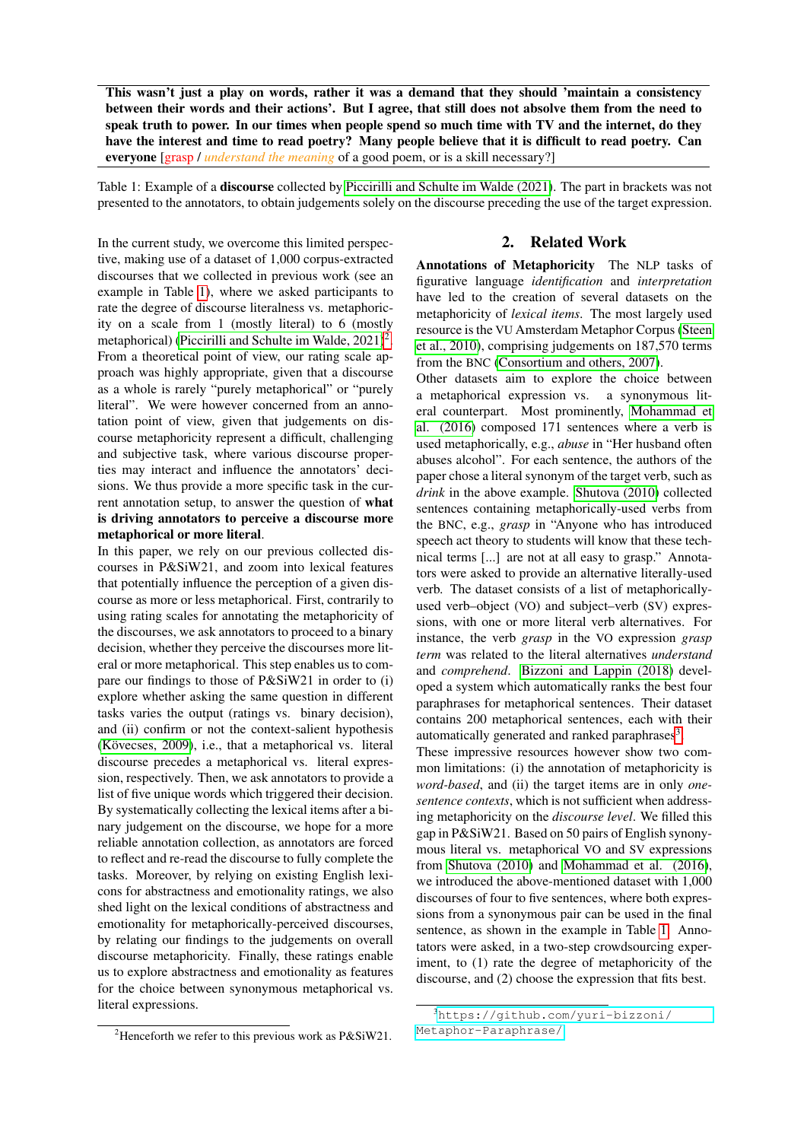This wasn't just a play on words, rather it was a demand that they should 'maintain a consistency between their words and their actions'. But I agree, that still does not absolve them from the need to speak truth to power. In our times when people spend so much time with TV and the internet, do they have the interest and time to read poetry? Many people believe that it is difficult to read poetry. Can everyone [grasp / *understand the meaning* of a good poem, or is a skill necessary?]

<span id="page-1-0"></span>Table 1: Example of a discourse collected by [Piccirilli and Schulte im Walde \(2021\)](#page-9-14). The part in brackets was not presented to the annotators, to obtain judgements solely on the discourse preceding the use of the target expression.

In the current study, we overcome this limited perspective, making use of a dataset of 1,000 corpus-extracted discourses that we collected in previous work (see an example in Table [1\)](#page-1-0), where we asked participants to rate the degree of discourse literalness vs. metaphoricity on a scale from 1 (mostly literal) to 6 (mostly metaphorical) (Piccirilli and Schulte im Walde,  $2021$  $2021$ )<sup>2</sup>. From a theoretical point of view, our rating scale approach was highly appropriate, given that a discourse as a whole is rarely "purely metaphorical" or "purely literal". We were however concerned from an annotation point of view, given that judgements on discourse metaphoricity represent a difficult, challenging and subjective task, where various discourse properties may interact and influence the annotators' decisions. We thus provide a more specific task in the current annotation setup, to answer the question of what is driving annotators to perceive a discourse more metaphorical or more literal.

In this paper, we rely on our previous collected discourses in P&SiW21, and zoom into lexical features that potentially influence the perception of a given discourse as more or less metaphorical. First, contrarily to using rating scales for annotating the metaphoricity of the discourses, we ask annotators to proceed to a binary decision, whether they perceive the discourses more literal or more metaphorical. This step enables us to compare our findings to those of P&SiW21 in order to (i) explore whether asking the same question in different tasks varies the output (ratings vs. binary decision), and (ii) confirm or not the context-salient hypothesis  $(Köveces, 2009)$ , i.e., that a metaphorical vs. literal discourse precedes a metaphorical vs. literal expression, respectively. Then, we ask annotators to provide a list of five unique words which triggered their decision. By systematically collecting the lexical items after a binary judgement on the discourse, we hope for a more reliable annotation collection, as annotators are forced to reflect and re-read the discourse to fully complete the tasks. Moreover, by relying on existing English lexicons for abstractness and emotionality ratings, we also shed light on the lexical conditions of abstractness and emotionality for metaphorically-perceived discourses, by relating our findings to the judgements on overall discourse metaphoricity. Finally, these ratings enable us to explore abstractness and emotionality as features for the choice between synonymous metaphorical vs. literal expressions.

## 2. Related Work

Annotations of Metaphoricity The NLP tasks of figurative language *identification* and *interpretation* have led to the creation of several datasets on the metaphoricity of *lexical items*. The most largely used resource is the VU Amsterdam Metaphor Corpus [\(Steen](#page-10-5) [et al., 2010\)](#page-10-5), comprising judgements on 187,570 terms from the BNC [\(Consortium and others, 2007\)](#page-8-7).

Other datasets aim to explore the choice between a metaphorical expression vs. a synonymous literal counterpart. Most prominently, [Mohammad et](#page-9-7) [al. \(2016\)](#page-9-7) composed 171 sentences where a verb is used metaphorically, e.g., *abuse* in "Her husband often abuses alcohol". For each sentence, the authors of the paper chose a literal synonym of the target verb, such as *drink* in the above example. [Shutova \(2010\)](#page-9-15) collected sentences containing metaphorically-used verbs from the BNC, e.g., *grasp* in "Anyone who has introduced speech act theory to students will know that these technical terms [...] are not at all easy to grasp." Annotators were asked to provide an alternative literally-used verb. The dataset consists of a list of metaphoricallyused verb–object (VO) and subject–verb (SV) expressions, with one or more literal verb alternatives. For instance, the verb *grasp* in the VO expression *grasp term* was related to the literal alternatives *understand* and *comprehend*. [Bizzoni and Lappin \(2018\)](#page-7-3) developed a system which automatically ranks the best four paraphrases for metaphorical sentences. Their dataset contains 200 metaphorical sentences, each with their automatically generated and ranked paraphrases<sup>[3](#page-1-2)</sup>.

These impressive resources however show two common limitations: (i) the annotation of metaphoricity is *word-based*, and (ii) the target items are in only *onesentence contexts*, which is not sufficient when addressing metaphoricity on the *discourse level*. We filled this gap in P&SiW21. Based on 50 pairs of English synonymous literal vs. metaphorical VO and SV expressions from [Shutova \(2010\)](#page-9-15) and [Mohammad et al. \(2016\)](#page-9-7), we introduced the above-mentioned dataset with 1,000 discourses of four to five sentences, where both expressions from a synonymous pair can be used in the final sentence, as shown in the example in Table [1.](#page-1-0) Annotators were asked, in a two-step crowdsourcing experiment, to (1) rate the degree of metaphoricity of the discourse, and (2) choose the expression that fits best.

<span id="page-1-1"></span><sup>&</sup>lt;sup>2</sup>Henceforth we refer to this previous work as  $P&SiW21$ .

<span id="page-1-2"></span><sup>3</sup>[https://github.com/yuri-bizzoni/](https://github.com/yuri-bizzoni/Metaphor-Paraphrase/) [Metaphor-Paraphrase/](https://github.com/yuri-bizzoni/Metaphor-Paraphrase/)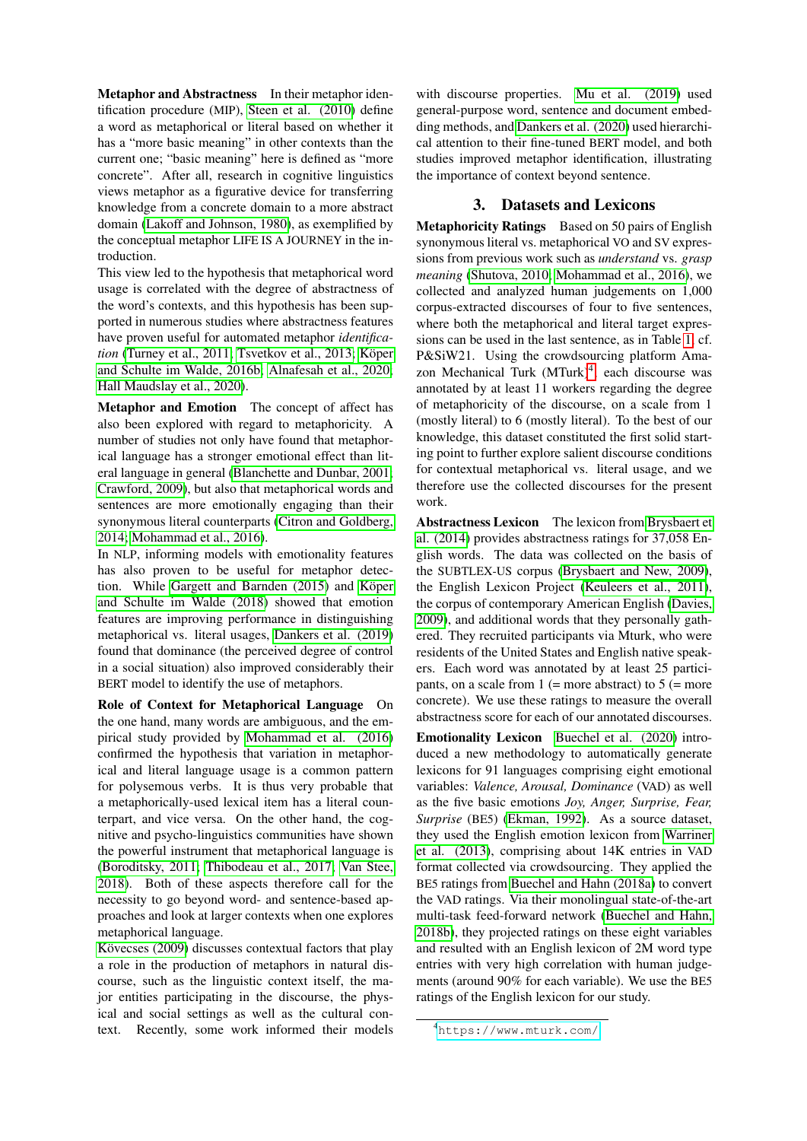Metaphor and Abstractness In their metaphor identification procedure (MIP), [Steen et al. \(2010\)](#page-10-5) define a word as metaphorical or literal based on whether it has a "more basic meaning" in other contexts than the current one; "basic meaning" here is defined as "more concrete". After all, research in cognitive linguistics views metaphor as a figurative device for transferring knowledge from a concrete domain to a more abstract domain [\(Lakoff and Johnson, 1980\)](#page-9-1), as exemplified by the conceptual metaphor LIFE IS A JOURNEY in the introduction.

This view led to the hypothesis that metaphorical word usage is correlated with the degree of abstractness of the word's contexts, and this hypothesis has been supported in numerous studies where abstractness features have proven useful for automated metaphor *identification* [\(Turney et al., 2011;](#page-10-7) [Tsvetkov et al., 2013;](#page-10-8) Köper [and Schulte im Walde, 2016b;](#page-9-6) [Alnafesah et al., 2020;](#page-7-2) [Hall Maudslay et al., 2020\)](#page-9-9).

Metaphor and Emotion The concept of affect has also been explored with regard to metaphoricity. A number of studies not only have found that metaphorical language has a stronger emotional effect than literal language in general [\(Blanchette and Dunbar, 2001;](#page-7-4) [Crawford, 2009\)](#page-8-8), but also that metaphorical words and sentences are more emotionally engaging than their synonymous literal counterparts [\(Citron and Goldberg,](#page-8-9) [2014;](#page-8-9) [Mohammad et al., 2016\)](#page-9-7).

In NLP, informing models with emotionality features has also proven to be useful for metaphor detec-tion. While [Gargett and Barnden \(2015\)](#page-8-10) and Köper [and Schulte im Walde \(2018\)](#page-9-8) showed that emotion features are improving performance in distinguishing metaphorical vs. literal usages, [Dankers et al. \(2019\)](#page-8-11) found that dominance (the perceived degree of control in a social situation) also improved considerably their BERT model to identify the use of metaphors.

Role of Context for Metaphorical Language On the one hand, many words are ambiguous, and the empirical study provided by [Mohammad et al. \(2016\)](#page-9-7) confirmed the hypothesis that variation in metaphorical and literal language usage is a common pattern for polysemous verbs. It is thus very probable that a metaphorically-used lexical item has a literal counterpart, and vice versa. On the other hand, the cognitive and psycho-linguistics communities have shown the powerful instrument that metaphorical language is [\(Boroditsky, 2011;](#page-7-0) [Thibodeau et al., 2017;](#page-10-3) [Van Stee,](#page-10-4) [2018\)](#page-10-4). Both of these aspects therefore call for the necessity to go beyond word- and sentence-based approaches and look at larger contexts when one explores metaphorical language.

Kövecses (2009) discusses contextual factors that play a role in the production of metaphors in natural discourse, such as the linguistic context itself, the major entities participating in the discourse, the physical and social settings as well as the cultural context. Recently, some work informed their models

with discourse properties. [Mu et al. \(2019\)](#page-9-13) used general-purpose word, sentence and document embedding methods, and [Dankers et al. \(2020\)](#page-8-4) used hierarchical attention to their fine-tuned BERT model, and both studies improved metaphor identification, illustrating the importance of context beyond sentence.

## 3. Datasets and Lexicons

<span id="page-2-1"></span>Metaphoricity Ratings Based on 50 pairs of English synonymous literal vs. metaphorical VO and SV expressions from previous work such as *understand* vs. *grasp meaning* [\(Shutova, 2010;](#page-9-15) [Mohammad et al., 2016\)](#page-9-7), we collected and analyzed human judgements on 1,000 corpus-extracted discourses of four to five sentences, where both the metaphorical and literal target expressions can be used in the last sentence, as in Table [1,](#page-1-0) cf. P&SiW21. Using the crowdsourcing platform Ama-zon Mechanical Turk (MTurk)<sup>[4](#page-2-0)</sup>, each discourse was annotated by at least 11 workers regarding the degree of metaphoricity of the discourse, on a scale from 1 (mostly literal) to 6 (mostly literal). To the best of our knowledge, this dataset constituted the first solid starting point to further explore salient discourse conditions for contextual metaphorical vs. literal usage, and we therefore use the collected discourses for the present work.

Abstractness Lexicon The lexicon from [Brysbaert et](#page-7-5) [al. \(2014\)](#page-7-5) provides abstractness ratings for 37,058 English words. The data was collected on the basis of the SUBTLEX-US corpus [\(Brysbaert and New, 2009\)](#page-7-6), the English Lexicon Project [\(Keuleers et al., 2011\)](#page-9-16), the corpus of contemporary American English [\(Davies,](#page-8-12) [2009\)](#page-8-12), and additional words that they personally gathered. They recruited participants via Mturk, who were residents of the United States and English native speakers. Each word was annotated by at least 25 participants, on a scale from  $1$  (= more abstract) to  $5$  (= more concrete). We use these ratings to measure the overall abstractness score for each of our annotated discourses.

Emotionality Lexicon [Buechel et al. \(2020\)](#page-8-13) introduced a new methodology to automatically generate lexicons for 91 languages comprising eight emotional variables: *Valence, Arousal, Dominance* (VAD) as well as the five basic emotions *Joy, Anger, Surprise, Fear, Surprise* (BE5) [\(Ekman, 1992\)](#page-8-14). As a source dataset, they used the English emotion lexicon from [Warriner](#page-10-10) [et al. \(2013\)](#page-10-10), comprising about 14K entries in VAD format collected via crowdsourcing. They applied the BE5 ratings from [Buechel and Hahn \(2018a\)](#page-8-15) to convert the VAD ratings. Via their monolingual state-of-the-art multi-task feed-forward network [\(Buechel and Hahn,](#page-8-16) [2018b\)](#page-8-16), they projected ratings on these eight variables and resulted with an English lexicon of 2M word type entries with very high correlation with human judgements (around 90% for each variable). We use the BE5 ratings of the English lexicon for our study.

<span id="page-2-0"></span><sup>4</sup><https://www.mturk.com/>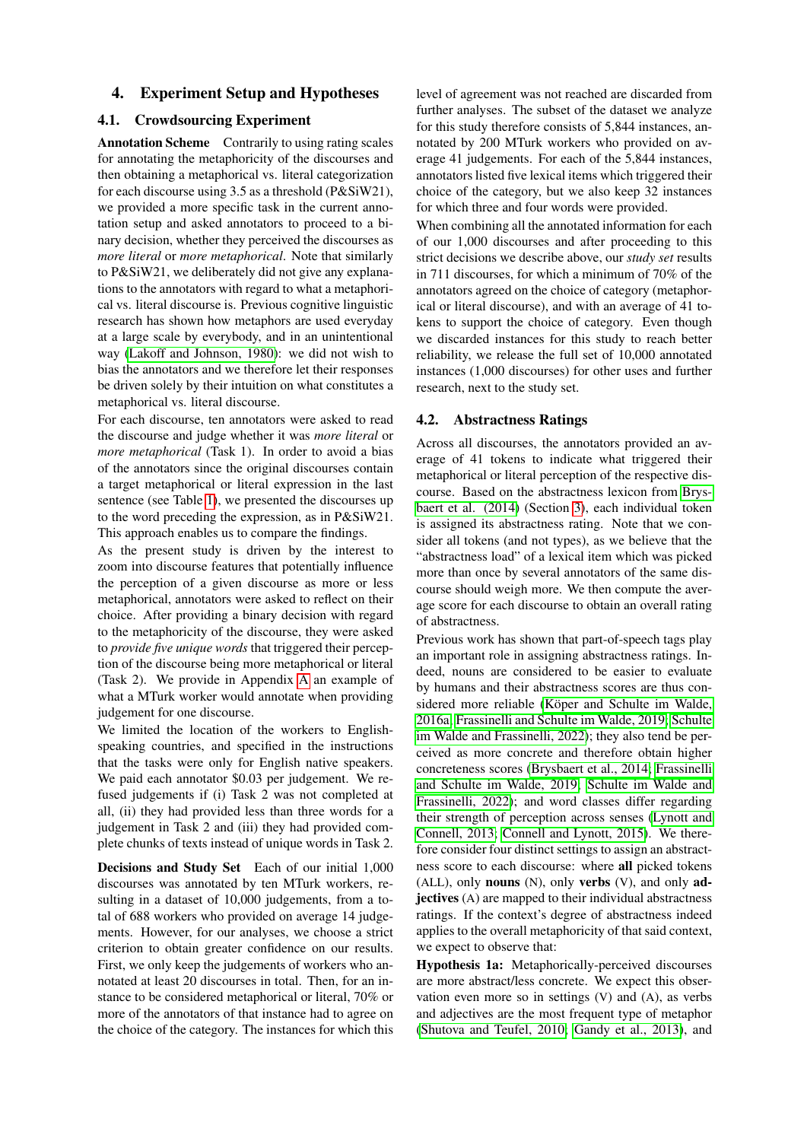## 4. Experiment Setup and Hypotheses

## <span id="page-3-1"></span>4.1. Crowdsourcing Experiment

Annotation Scheme Contrarily to using rating scales for annotating the metaphoricity of the discourses and then obtaining a metaphorical vs. literal categorization for each discourse using 3.5 as a threshold (P&SiW21), we provided a more specific task in the current annotation setup and asked annotators to proceed to a binary decision, whether they perceived the discourses as *more literal* or *more metaphorical*. Note that similarly to P&SiW21, we deliberately did not give any explanations to the annotators with regard to what a metaphorical vs. literal discourse is. Previous cognitive linguistic research has shown how metaphors are used everyday at a large scale by everybody, and in an unintentional way [\(Lakoff and Johnson, 1980\)](#page-9-1): we did not wish to bias the annotators and we therefore let their responses be driven solely by their intuition on what constitutes a metaphorical vs. literal discourse.

For each discourse, ten annotators were asked to read the discourse and judge whether it was *more literal* or *more metaphorical* (Task 1). In order to avoid a bias of the annotators since the original discourses contain a target metaphorical or literal expression in the last sentence (see Table [1\)](#page-1-0), we presented the discourses up to the word preceding the expression, as in P&SiW21. This approach enables us to compare the findings.

As the present study is driven by the interest to zoom into discourse features that potentially influence the perception of a given discourse as more or less metaphorical, annotators were asked to reflect on their choice. After providing a binary decision with regard to the metaphoricity of the discourse, they were asked to *provide five unique words* that triggered their perception of the discourse being more metaphorical or literal (Task 2). We provide in Appendix [A](#page-11-0) an example of what a MTurk worker would annotate when providing judgement for one discourse.

We limited the location of the workers to Englishspeaking countries, and specified in the instructions that the tasks were only for English native speakers. We paid each annotator \$0.03 per judgement. We refused judgements if (i) Task 2 was not completed at all, (ii) they had provided less than three words for a judgement in Task 2 and (iii) they had provided complete chunks of texts instead of unique words in Task 2.

Decisions and Study Set Each of our initial 1,000 discourses was annotated by ten MTurk workers, resulting in a dataset of 10,000 judgements, from a total of 688 workers who provided on average 14 judgements. However, for our analyses, we choose a strict criterion to obtain greater confidence on our results. First, we only keep the judgements of workers who annotated at least 20 discourses in total. Then, for an instance to be considered metaphorical or literal, 70% or more of the annotators of that instance had to agree on the choice of the category. The instances for which this level of agreement was not reached are discarded from further analyses. The subset of the dataset we analyze for this study therefore consists of 5,844 instances, annotated by 200 MTurk workers who provided on average 41 judgements. For each of the 5,844 instances, annotators listed five lexical items which triggered their choice of the category, but we also keep 32 instances for which three and four words were provided.

When combining all the annotated information for each of our 1,000 discourses and after proceeding to this strict decisions we describe above, our *study set* results in 711 discourses, for which a minimum of 70% of the annotators agreed on the choice of category (metaphorical or literal discourse), and with an average of 41 tokens to support the choice of category. Even though we discarded instances for this study to reach better reliability, we release the full set of 10,000 annotated instances (1,000 discourses) for other uses and further research, next to the study set.

#### <span id="page-3-0"></span>4.2. Abstractness Ratings

Across all discourses, the annotators provided an average of 41 tokens to indicate what triggered their metaphorical or literal perception of the respective discourse. Based on the abstractness lexicon from [Brys](#page-7-5)[baert et al. \(2014\)](#page-7-5) (Section [3\)](#page-2-1), each individual token is assigned its abstractness rating. Note that we consider all tokens (and not types), as we believe that the "abstractness load" of a lexical item which was picked more than once by several annotators of the same discourse should weigh more. We then compute the average score for each discourse to obtain an overall rating of abstractness.

Previous work has shown that part-of-speech tags play an important role in assigning abstractness ratings. Indeed, nouns are considered to be easier to evaluate by humans and their abstractness scores are thus considered more reliable (Köper and Schulte im Walde, [2016a;](#page-9-17) [Frassinelli and Schulte im Walde, 2019;](#page-8-17) [Schulte](#page-9-18) [im Walde and Frassinelli, 2022\)](#page-9-18); they also tend be perceived as more concrete and therefore obtain higher concreteness scores [\(Brysbaert et al., 2014;](#page-7-5) [Frassinelli](#page-8-17) [and Schulte im Walde, 2019;](#page-8-17) [Schulte im Walde and](#page-9-18) [Frassinelli, 2022\)](#page-9-18); and word classes differ regarding their strength of perception across senses [\(Lynott and](#page-9-19) [Connell, 2013;](#page-9-19) [Connell and Lynott, 2015\)](#page-8-18). We therefore consider four distinct settings to assign an abstractness score to each discourse: where all picked tokens (ALL), only nouns (N), only verbs (V), and only adjectives (A) are mapped to their individual abstractness ratings. If the context's degree of abstractness indeed applies to the overall metaphoricity of that said context, we expect to observe that:

Hypothesis 1a: Metaphorically-perceived discourses are more abstract/less concrete. We expect this observation even more so in settings (V) and (A), as verbs and adjectives are the most frequent type of metaphor [\(Shutova and Teufel, 2010;](#page-9-4) [Gandy et al., 2013\)](#page-8-19), and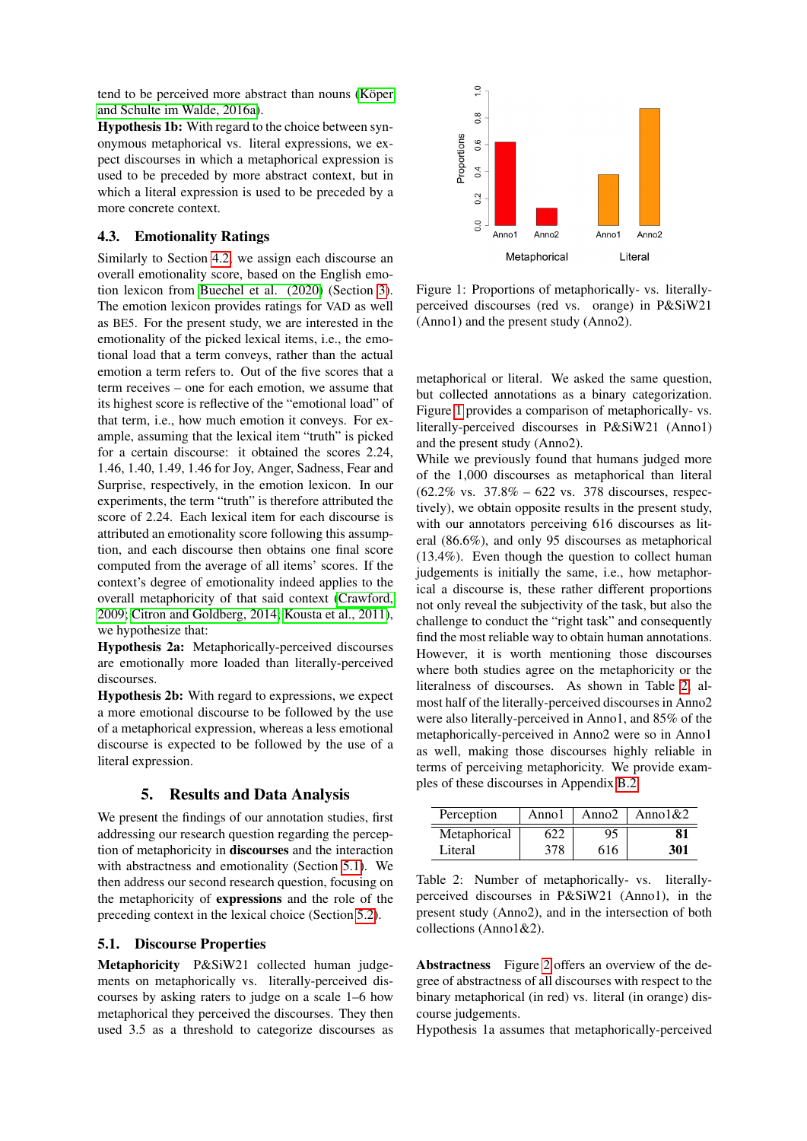tend to be perceived more abstract than nouns (Köper [and Schulte im Walde, 2016a\)](#page-9-17).

Hypothesis 1b: With regard to the choice between synonymous metaphorical vs. literal expressions, we expect discourses in which a metaphorical expression is used to be preceded by more abstract context, but in which a literal expression is used to be preceded by a more concrete context.

## 4.3. Emotionality Ratings

Similarly to Section [4.2,](#page-3-0) we assign each discourse an overall emotionality score, based on the English emotion lexicon from [Buechel et al. \(2020\)](#page-8-13) (Section [3\)](#page-2-1). The emotion lexicon provides ratings for VAD as well as BE5. For the present study, we are interested in the emotionality of the picked lexical items, i.e., the emotional load that a term conveys, rather than the actual emotion a term refers to. Out of the five scores that a term receives – one for each emotion, we assume that its highest score is reflective of the "emotional load" of that term, i.e., how much emotion it conveys. For example, assuming that the lexical item "truth" is picked for a certain discourse: it obtained the scores 2.24, 1.46, 1.40, 1.49, 1.46 for Joy, Anger, Sadness, Fear and Surprise, respectively, in the emotion lexicon. In our experiments, the term "truth" is therefore attributed the score of 2.24. Each lexical item for each discourse is attributed an emotionality score following this assumption, and each discourse then obtains one final score computed from the average of all items' scores. If the context's degree of emotionality indeed applies to the overall metaphoricity of that said context [\(Crawford,](#page-8-8) [2009;](#page-8-8) [Citron and Goldberg, 2014;](#page-8-9) [Kousta et al., 2011\)](#page-9-20), we hypothesize that:

Hypothesis 2a: Metaphorically-perceived discourses are emotionally more loaded than literally-perceived discourses.

Hypothesis 2b: With regard to expressions, we expect a more emotional discourse to be followed by the use of a metaphorical expression, whereas a less emotional discourse is expected to be followed by the use of a literal expression.

#### 5. Results and Data Analysis

We present the findings of our annotation studies, first addressing our research question regarding the perception of metaphoricity in discourses and the interaction with abstractness and emotionality (Section [5.1\)](#page-4-0). We then address our second research question, focusing on the metaphoricity of expressions and the role of the preceding context in the lexical choice (Section [5.2\)](#page-5-0).

#### <span id="page-4-0"></span>5.1. Discourse Properties

Metaphoricity P&SiW21 collected human judgements on metaphorically vs. literally-perceived discourses by asking raters to judge on a scale 1–6 how metaphorical they perceived the discourses. They then used 3.5 as a threshold to categorize discourses as



<span id="page-4-1"></span>Figure 1: Proportions of metaphorically- vs. literallyperceived discourses (red vs. orange) in P&SiW21 (Anno1) and the present study (Anno2).

metaphorical or literal. We asked the same question, but collected annotations as a binary categorization. Figure [1](#page-4-1) provides a comparison of metaphorically- vs. literally-perceived discourses in P&SiW21 (Anno1) and the present study (Anno2).

While we previously found that humans judged more of the 1,000 discourses as metaphorical than literal  $(62.2\% \text{ vs. } 37.8\% - 622 \text{ vs. } 378 \text{ discourse}, \text{ respectively})$ tively), we obtain opposite results in the present study, with our annotators perceiving 616 discourses as literal (86.6%), and only 95 discourses as metaphorical (13.4%). Even though the question to collect human judgements is initially the same, i.e., how metaphorical a discourse is, these rather different proportions not only reveal the subjectivity of the task, but also the challenge to conduct the "right task" and consequently find the most reliable way to obtain human annotations. However, it is worth mentioning those discourses where both studies agree on the metaphoricity or the literalness of discourses. As shown in Table [2,](#page-4-2) almost half of the literally-perceived discourses in Anno2 were also literally-perceived in Anno1, and 85% of the metaphorically-perceived in Anno2 were so in Anno1 as well, making those discourses highly reliable in terms of perceiving metaphoricity. We provide examples of these discourses in Appendix [B.2.](#page-12-0)

| Perception   | Anno1 | Anno2 | Anno $1&2$ |
|--------------|-------|-------|------------|
| Metaphorical | 622   | 95    | 81         |
| Literal      | 378   | 616   | 301        |

<span id="page-4-2"></span>Table 2: Number of metaphorically- vs. literallyperceived discourses in P&SiW21 (Anno1), in the present study (Anno2), and in the intersection of both collections (Anno1&2).

Abstractness Figure [2](#page-5-1) offers an overview of the degree of abstractness of all discourses with respect to the binary metaphorical (in red) vs. literal (in orange) discourse judgements.

Hypothesis 1a assumes that metaphorically-perceived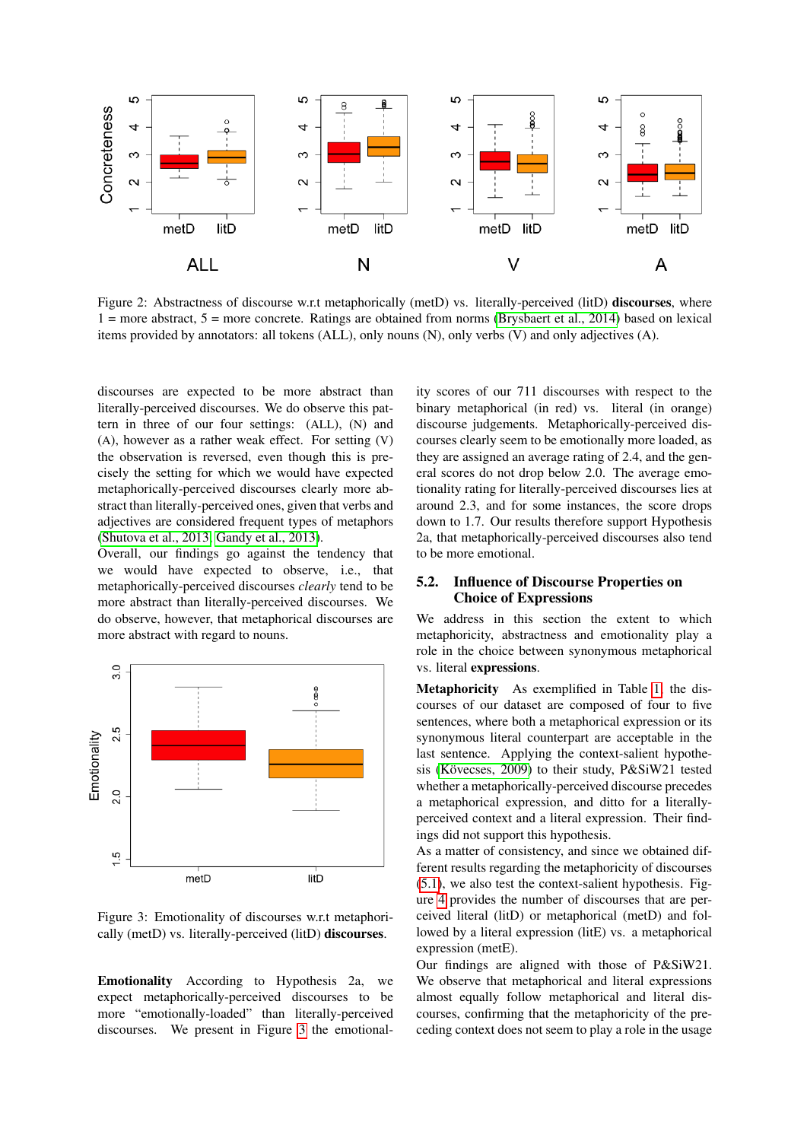

<span id="page-5-1"></span>Figure 2: Abstractness of discourse w.r.t metaphorically (metD) vs. literally-perceived (litD) discourses, where  $1 =$  more abstract,  $5 =$  more concrete. Ratings are obtained from norms [\(Brysbaert et al., 2014\)](#page-7-5) based on lexical items provided by annotators: all tokens (ALL), only nouns (N), only verbs (V) and only adjectives (A).

discourses are expected to be more abstract than literally-perceived discourses. We do observe this pattern in three of our four settings: (ALL), (N) and (A), however as a rather weak effect. For setting (V) the observation is reversed, even though this is precisely the setting for which we would have expected metaphorically-perceived discourses clearly more abstract than literally-perceived ones, given that verbs and adjectives are considered frequent types of metaphors [\(Shutova et al., 2013;](#page-9-5) [Gandy et al., 2013\)](#page-8-19).

Overall, our findings go against the tendency that we would have expected to observe, i.e., that metaphorically-perceived discourses *clearly* tend to be more abstract than literally-perceived discourses. We do observe, however, that metaphorical discourses are more abstract with regard to nouns.



<span id="page-5-2"></span>Figure 3: Emotionality of discourses w.r.t metaphorically (metD) vs. literally-perceived (litD) discourses.

Emotionality According to Hypothesis 2a, we expect metaphorically-perceived discourses to be more "emotionally-loaded" than literally-perceived discourses. We present in Figure [3](#page-5-2) the emotionality scores of our 711 discourses with respect to the binary metaphorical (in red) vs. literal (in orange) discourse judgements. Metaphorically-perceived discourses clearly seem to be emotionally more loaded, as they are assigned an average rating of 2.4, and the general scores do not drop below 2.0. The average emotionality rating for literally-perceived discourses lies at around 2.3, and for some instances, the score drops down to 1.7. Our results therefore support Hypothesis 2a, that metaphorically-perceived discourses also tend to be more emotional.

#### <span id="page-5-0"></span>5.2. Influence of Discourse Properties on Choice of Expressions

We address in this section the extent to which metaphoricity, abstractness and emotionality play a role in the choice between synonymous metaphorical vs. literal expressions.

Metaphoricity As exemplified in Table [1,](#page-1-0) the discourses of our dataset are composed of four to five sentences, where both a metaphorical expression or its synonymous literal counterpart are acceptable in the last sentence. Applying the context-salient hypothesis (Kövecses, 2009) to their study, P&SiW21 tested whether a metaphorically-perceived discourse precedes a metaphorical expression, and ditto for a literallyperceived context and a literal expression. Their findings did not support this hypothesis.

As a matter of consistency, and since we obtained different results regarding the metaphoricity of discourses [\(5.1\)](#page-4-0), we also test the context-salient hypothesis. Figure [4](#page-6-0) provides the number of discourses that are perceived literal (litD) or metaphorical (metD) and followed by a literal expression (litE) vs. a metaphorical expression (metE).

Our findings are aligned with those of P&SiW21. We observe that metaphorical and literal expressions almost equally follow metaphorical and literal discourses, confirming that the metaphoricity of the preceding context does not seem to play a role in the usage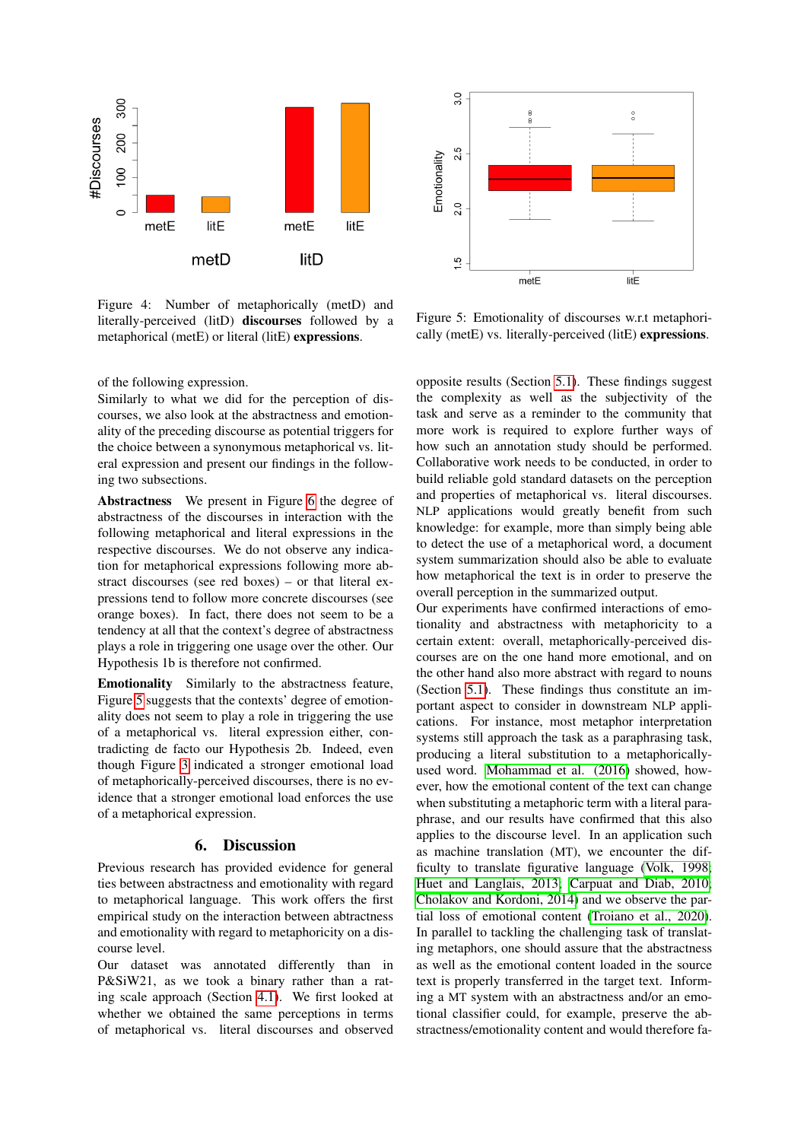

<span id="page-6-0"></span>Figure 4: Number of metaphorically (metD) and literally-perceived (litD) discourses followed by a metaphorical (metE) or literal (litE) expressions.

of the following expression.

Similarly to what we did for the perception of discourses, we also look at the abstractness and emotionality of the preceding discourse as potential triggers for the choice between a synonymous metaphorical vs. literal expression and present our findings in the following two subsections.

Abstractness We present in Figure [6](#page-7-7) the degree of abstractness of the discourses in interaction with the following metaphorical and literal expressions in the respective discourses. We do not observe any indication for metaphorical expressions following more abstract discourses (see red boxes) – or that literal expressions tend to follow more concrete discourses (see orange boxes). In fact, there does not seem to be a tendency at all that the context's degree of abstractness plays a role in triggering one usage over the other. Our Hypothesis 1b is therefore not confirmed.

Emotionality Similarly to the abstractness feature, Figure [5](#page-6-1) suggests that the contexts' degree of emotionality does not seem to play a role in triggering the use of a metaphorical vs. literal expression either, contradicting de facto our Hypothesis 2b. Indeed, even though Figure [3](#page-5-2) indicated a stronger emotional load of metaphorically-perceived discourses, there is no evidence that a stronger emotional load enforces the use of a metaphorical expression.

## 6. Discussion

Previous research has provided evidence for general ties between abstractness and emotionality with regard to metaphorical language. This work offers the first empirical study on the interaction between abtractness and emotionality with regard to metaphoricity on a discourse level.

Our dataset was annotated differently than in P&SiW21, as we took a binary rather than a rating scale approach (Section [4.1\)](#page-3-1). We first looked at whether we obtained the same perceptions in terms of metaphorical vs. literal discourses and observed



<span id="page-6-1"></span>Figure 5: Emotionality of discourses w.r.t metaphorically (metE) vs. literally-perceived (litE) expressions.

opposite results (Section [5.1\)](#page-4-0). These findings suggest the complexity as well as the subjectivity of the task and serve as a reminder to the community that more work is required to explore further ways of how such an annotation study should be performed. Collaborative work needs to be conducted, in order to build reliable gold standard datasets on the perception and properties of metaphorical vs. literal discourses. NLP applications would greatly benefit from such knowledge: for example, more than simply being able to detect the use of a metaphorical word, a document system summarization should also be able to evaluate how metaphorical the text is in order to preserve the overall perception in the summarized output.

Our experiments have confirmed interactions of emotionality and abstractness with metaphoricity to a certain extent: overall, metaphorically-perceived discourses are on the one hand more emotional, and on the other hand also more abstract with regard to nouns (Section [5.1\)](#page-4-0). These findings thus constitute an important aspect to consider in downstream NLP applications. For instance, most metaphor interpretation systems still approach the task as a paraphrasing task, producing a literal substitution to a metaphoricallyused word. [Mohammad et al. \(2016\)](#page-9-7) showed, however, how the emotional content of the text can change when substituting a metaphoric term with a literal paraphrase, and our results have confirmed that this also applies to the discourse level. In an application such as machine translation (MT), we encounter the difficulty to translate figurative language [\(Volk, 1998;](#page-10-11) [Huet and Langlais, 2013;](#page-9-21) [Carpuat and Diab, 2010;](#page-8-20) [Cholakov and Kordoni, 2014\)](#page-8-21) and we observe the partial loss of emotional content [\(Troiano et al., 2020\)](#page-10-12). In parallel to tackling the challenging task of translating metaphors, one should assure that the abstractness as well as the emotional content loaded in the source text is properly transferred in the target text. Informing a MT system with an abstractness and/or an emotional classifier could, for example, preserve the abstractness/emotionality content and would therefore fa-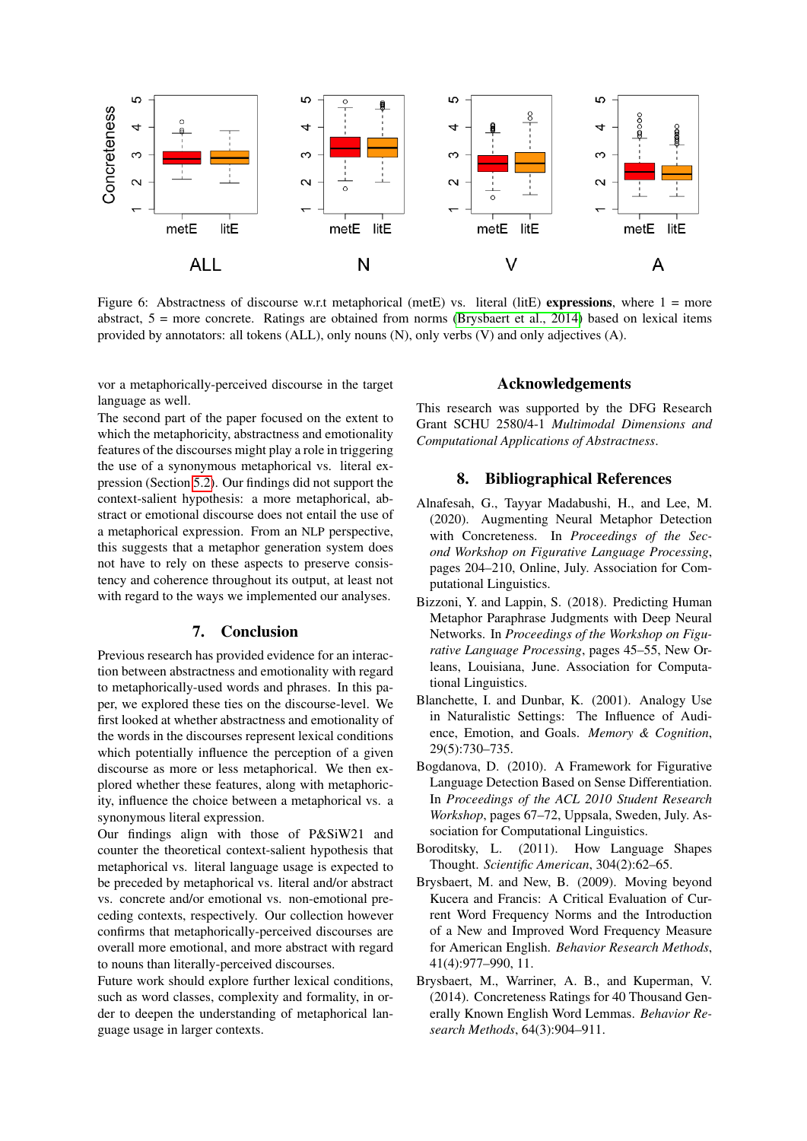

<span id="page-7-7"></span>Figure 6: Abstractness of discourse w.r.t metaphorical (metE) vs. literal (litE) expressions, where  $1 =$  more abstract,  $5 =$  more concrete. Ratings are obtained from norms [\(Brysbaert et al., 2014\)](#page-7-5) based on lexical items provided by annotators: all tokens (ALL), only nouns (N), only verbs (V) and only adjectives (A).

vor a metaphorically-perceived discourse in the target language as well.

The second part of the paper focused on the extent to which the metaphoricity, abstractness and emotionality features of the discourses might play a role in triggering the use of a synonymous metaphorical vs. literal expression (Section [5.2\)](#page-5-0). Our findings did not support the context-salient hypothesis: a more metaphorical, abstract or emotional discourse does not entail the use of a metaphorical expression. From an NLP perspective, this suggests that a metaphor generation system does not have to rely on these aspects to preserve consistency and coherence throughout its output, at least not with regard to the ways we implemented our analyses.

## 7. Conclusion

Previous research has provided evidence for an interaction between abstractness and emotionality with regard to metaphorically-used words and phrases. In this paper, we explored these ties on the discourse-level. We first looked at whether abstractness and emotionality of the words in the discourses represent lexical conditions which potentially influence the perception of a given discourse as more or less metaphorical. We then explored whether these features, along with metaphoricity, influence the choice between a metaphorical vs. a synonymous literal expression.

Our findings align with those of P&SiW21 and counter the theoretical context-salient hypothesis that metaphorical vs. literal language usage is expected to be preceded by metaphorical vs. literal and/or abstract vs. concrete and/or emotional vs. non-emotional preceding contexts, respectively. Our collection however confirms that metaphorically-perceived discourses are overall more emotional, and more abstract with regard to nouns than literally-perceived discourses.

Future work should explore further lexical conditions, such as word classes, complexity and formality, in order to deepen the understanding of metaphorical language usage in larger contexts.

## Acknowledgements

This research was supported by the DFG Research Grant SCHU 2580/4-1 *Multimodal Dimensions and Computational Applications of Abstractness*.

## 8. Bibliographical References

- <span id="page-7-2"></span>Alnafesah, G., Tayyar Madabushi, H., and Lee, M. (2020). Augmenting Neural Metaphor Detection with Concreteness. In *Proceedings of the Second Workshop on Figurative Language Processing*, pages 204–210, Online, July. Association for Computational Linguistics.
- <span id="page-7-3"></span>Bizzoni, Y. and Lappin, S. (2018). Predicting Human Metaphor Paraphrase Judgments with Deep Neural Networks. In *Proceedings of the Workshop on Figurative Language Processing*, pages 45–55, New Orleans, Louisiana, June. Association for Computational Linguistics.
- <span id="page-7-4"></span>Blanchette, I. and Dunbar, K. (2001). Analogy Use in Naturalistic Settings: The Influence of Audience, Emotion, and Goals. *Memory & Cognition*, 29(5):730–735.
- <span id="page-7-1"></span>Bogdanova, D. (2010). A Framework for Figurative Language Detection Based on Sense Differentiation. In *Proceedings of the ACL 2010 Student Research Workshop*, pages 67–72, Uppsala, Sweden, July. Association for Computational Linguistics.
- <span id="page-7-0"></span>Boroditsky, L. (2011). How Language Shapes Thought. *Scientific American*, 304(2):62–65.
- <span id="page-7-6"></span>Brysbaert, M. and New, B. (2009). Moving beyond Kucera and Francis: A Critical Evaluation of Current Word Frequency Norms and the Introduction of a New and Improved Word Frequency Measure for American English. *Behavior Research Methods*, 41(4):977–990, 11.
- <span id="page-7-5"></span>Brysbaert, M., Warriner, A. B., and Kuperman, V. (2014). Concreteness Ratings for 40 Thousand Generally Known English Word Lemmas. *Behavior Research Methods*, 64(3):904–911.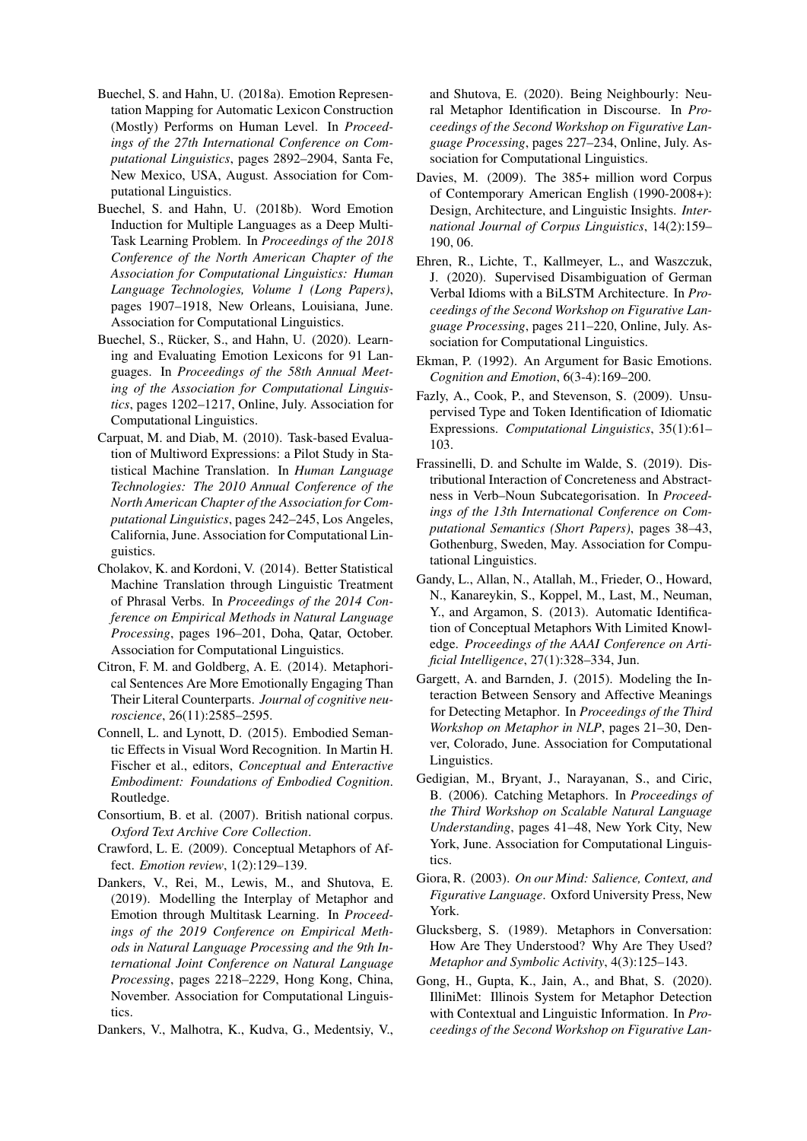- <span id="page-8-15"></span>Buechel, S. and Hahn, U. (2018a). Emotion Representation Mapping for Automatic Lexicon Construction (Mostly) Performs on Human Level. In *Proceedings of the 27th International Conference on Computational Linguistics*, pages 2892–2904, Santa Fe, New Mexico, USA, August. Association for Computational Linguistics.
- <span id="page-8-16"></span>Buechel, S. and Hahn, U. (2018b). Word Emotion Induction for Multiple Languages as a Deep Multi-Task Learning Problem. In *Proceedings of the 2018 Conference of the North American Chapter of the Association for Computational Linguistics: Human Language Technologies, Volume 1 (Long Papers)*, pages 1907–1918, New Orleans, Louisiana, June. Association for Computational Linguistics.
- <span id="page-8-13"></span>Buechel, S., Rücker, S., and Hahn, U. (2020). Learning and Evaluating Emotion Lexicons for 91 Languages. In *Proceedings of the 58th Annual Meeting of the Association for Computational Linguistics*, pages 1202–1217, Online, July. Association for Computational Linguistics.
- <span id="page-8-20"></span>Carpuat, M. and Diab, M. (2010). Task-based Evaluation of Multiword Expressions: a Pilot Study in Statistical Machine Translation. In *Human Language Technologies: The 2010 Annual Conference of the North American Chapter of the Association for Computational Linguistics*, pages 242–245, Los Angeles, California, June. Association for Computational Linguistics.
- <span id="page-8-21"></span>Cholakov, K. and Kordoni, V. (2014). Better Statistical Machine Translation through Linguistic Treatment of Phrasal Verbs. In *Proceedings of the 2014 Conference on Empirical Methods in Natural Language Processing*, pages 196–201, Doha, Qatar, October. Association for Computational Linguistics.
- <span id="page-8-9"></span>Citron, F. M. and Goldberg, A. E. (2014). Metaphorical Sentences Are More Emotionally Engaging Than Their Literal Counterparts. *Journal of cognitive neuroscience*, 26(11):2585–2595.
- <span id="page-8-18"></span>Connell, L. and Lynott, D. (2015). Embodied Semantic Effects in Visual Word Recognition. In Martin H. Fischer et al., editors, *Conceptual and Enteractive Embodiment: Foundations of Embodied Cognition*. Routledge.
- <span id="page-8-7"></span>Consortium, B. et al. (2007). British national corpus. *Oxford Text Archive Core Collection*.
- <span id="page-8-8"></span>Crawford, L. E. (2009). Conceptual Metaphors of Affect. *Emotion review*, 1(2):129–139.
- <span id="page-8-11"></span>Dankers, V., Rei, M., Lewis, M., and Shutova, E. (2019). Modelling the Interplay of Metaphor and Emotion through Multitask Learning. In *Proceedings of the 2019 Conference on Empirical Methods in Natural Language Processing and the 9th International Joint Conference on Natural Language Processing*, pages 2218–2229, Hong Kong, China, November. Association for Computational Linguistics.
- <span id="page-8-4"></span>Dankers, V., Malhotra, K., Kudva, G., Medentsiy, V.,

and Shutova, E. (2020). Being Neighbourly: Neural Metaphor Identification in Discourse. In *Proceedings of the Second Workshop on Figurative Language Processing*, pages 227–234, Online, July. Association for Computational Linguistics.

- <span id="page-8-12"></span>Davies, M. (2009). The 385+ million word Corpus of Contemporary American English (1990-2008+): Design, Architecture, and Linguistic Insights. *International Journal of Corpus Linguistics*, 14(2):159– 190, 06.
- <span id="page-8-3"></span>Ehren, R., Lichte, T., Kallmeyer, L., and Waszczuk, J. (2020). Supervised Disambiguation of German Verbal Idioms with a BiLSTM Architecture. In *Proceedings of the Second Workshop on Figurative Language Processing*, pages 211–220, Online, July. Association for Computational Linguistics.
- <span id="page-8-14"></span>Ekman, P. (1992). An Argument for Basic Emotions. *Cognition and Emotion*, 6(3-4):169–200.
- <span id="page-8-2"></span>Fazly, A., Cook, P., and Stevenson, S. (2009). Unsupervised Type and Token Identification of Idiomatic Expressions. *Computational Linguistics*, 35(1):61– 103.
- <span id="page-8-17"></span>Frassinelli, D. and Schulte im Walde, S. (2019). Distributional Interaction of Concreteness and Abstractness in Verb–Noun Subcategorisation. In *Proceedings of the 13th International Conference on Computational Semantics (Short Papers)*, pages 38–43, Gothenburg, Sweden, May. Association for Computational Linguistics.
- <span id="page-8-19"></span>Gandy, L., Allan, N., Atallah, M., Frieder, O., Howard, N., Kanareykin, S., Koppel, M., Last, M., Neuman, Y., and Argamon, S. (2013). Automatic Identification of Conceptual Metaphors With Limited Knowledge. *Proceedings of the AAAI Conference on Artificial Intelligence*, 27(1):328–334, Jun.
- <span id="page-8-10"></span>Gargett, A. and Barnden, J. (2015). Modeling the Interaction Between Sensory and Affective Meanings for Detecting Metaphor. In *Proceedings of the Third Workshop on Metaphor in NLP*, pages 21–30, Denver, Colorado, June. Association for Computational Linguistics.
- <span id="page-8-1"></span>Gedigian, M., Bryant, J., Narayanan, S., and Ciric, B. (2006). Catching Metaphors. In *Proceedings of the Third Workshop on Scalable Natural Language Understanding*, pages 41–48, New York City, New York, June. Association for Computational Linguistics.
- <span id="page-8-5"></span>Giora, R. (2003). *On our Mind: Salience, Context, and Figurative Language*. Oxford University Press, New York.
- <span id="page-8-0"></span>Glucksberg, S. (1989). Metaphors in Conversation: How Are They Understood? Why Are They Used? *Metaphor and Symbolic Activity*, 4(3):125–143.
- <span id="page-8-6"></span>Gong, H., Gupta, K., Jain, A., and Bhat, S. (2020). IlliniMet: Illinois System for Metaphor Detection with Contextual and Linguistic Information. In *Proceedings of the Second Workshop on Figurative Lan-*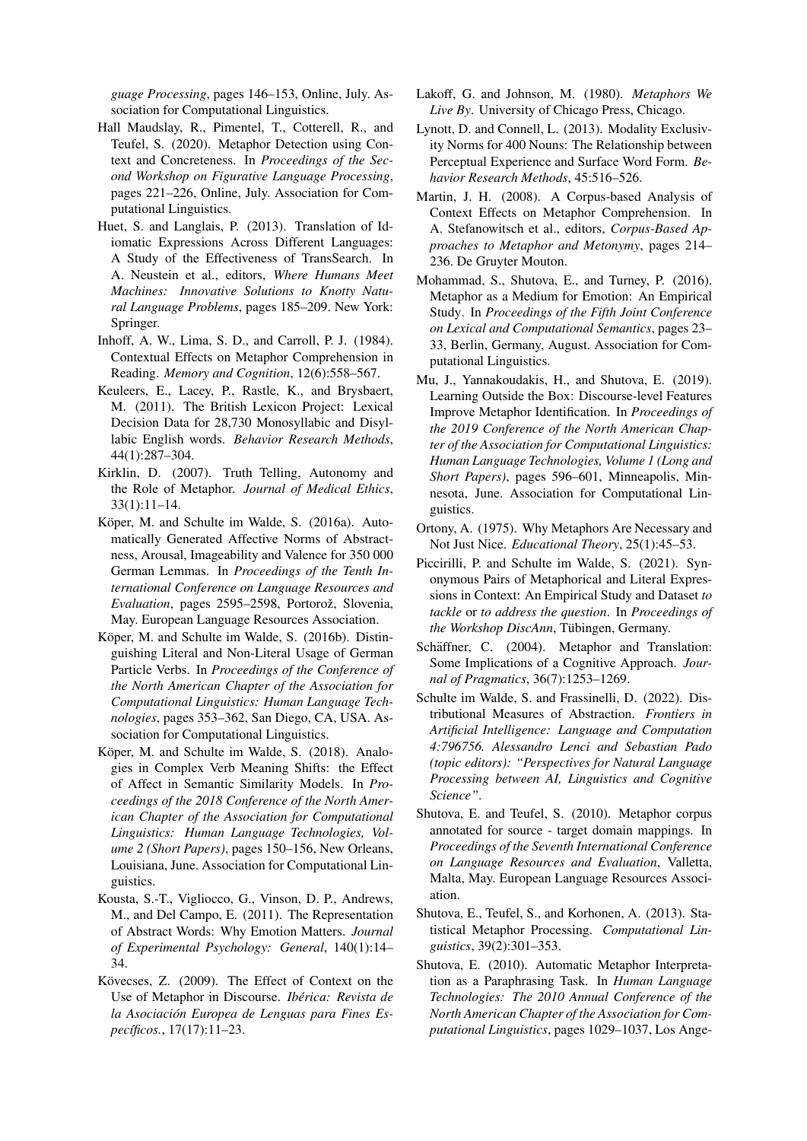*guage Processing*, pages 146–153, Online, July. Association for Computational Linguistics.

- <span id="page-9-9"></span>Hall Maudslay, R., Pimentel, T., Cotterell, R., and Teufel, S. (2020). Metaphor Detection using Context and Concreteness. In *Proceedings of the Second Workshop on Figurative Language Processing*, pages 221–226, Online, July. Association for Computational Linguistics.
- <span id="page-9-21"></span>Huet, S. and Langlais, P. (2013). Translation of Idiomatic Expressions Across Different Languages: A Study of the Effectiveness of TransSearch. In A. Neustein et al., editors, *Where Humans Meet Machines: Innovative Solutions to Knotty Natural Language Problems*, pages 185–209. New York: Springer.
- <span id="page-9-10"></span>Inhoff, A. W., Lima, S. D., and Carroll, P. J. (1984). Contextual Effects on Metaphor Comprehension in Reading. *Memory and Cognition*, 12(6):558–567.
- <span id="page-9-16"></span>Keuleers, E., Lacey, P., Rastle, K., and Brysbaert, M. (2011). The British Lexicon Project: Lexical Decision Data for 28,730 Monosyllabic and Disyllabic English words. *Behavior Research Methods*, 44(1):287–304.
- <span id="page-9-3"></span>Kirklin, D. (2007). Truth Telling, Autonomy and the Role of Metaphor. *Journal of Medical Ethics*, 33(1):11–14.
- <span id="page-9-17"></span>Köper, M. and Schulte im Walde, S. (2016a). Automatically Generated Affective Norms of Abstractness, Arousal, Imageability and Valence for 350 000 German Lemmas. In *Proceedings of the Tenth International Conference on Language Resources and Evaluation*, pages 2595–2598, Portorož, Slovenia, May. European Language Resources Association.
- <span id="page-9-6"></span>Köper, M. and Schulte im Walde, S. (2016b). Distinguishing Literal and Non-Literal Usage of German Particle Verbs. In *Proceedings of the Conference of the North American Chapter of the Association for Computational Linguistics: Human Language Technologies*, pages 353–362, San Diego, CA, USA. Association for Computational Linguistics.
- <span id="page-9-8"></span>Köper, M. and Schulte im Walde, S. (2018). Analogies in Complex Verb Meaning Shifts: the Effect of Affect in Semantic Similarity Models. In *Proceedings of the 2018 Conference of the North American Chapter of the Association for Computational Linguistics: Human Language Technologies, Volume 2 (Short Papers)*, pages 150–156, New Orleans, Louisiana, June. Association for Computational Linguistics.
- <span id="page-9-20"></span>Kousta, S.-T., Vigliocco, G., Vinson, D. P., Andrews, M., and Del Campo, E. (2011). The Representation of Abstract Words: Why Emotion Matters. *Journal of Experimental Psychology: General*, 140(1):14– 34.
- <span id="page-9-12"></span>Kövecses, Z. (2009). The Effect of Context on the Use of Metaphor in Discourse. *Iberica: Revista de ´ la Asociacion Europea de Lenguas para Fines Es- ´ pec´ıficos.*, 17(17):11–23.
- <span id="page-9-1"></span>Lakoff, G. and Johnson, M. (1980). *Metaphors We Live By*. University of Chicago Press, Chicago.
- <span id="page-9-19"></span>Lynott, D. and Connell, L. (2013). Modality Exclusivity Norms for 400 Nouns: The Relationship between Perceptual Experience and Surface Word Form. *Behavior Research Methods*, 45:516–526.
- <span id="page-9-11"></span>Martin, J. H. (2008). A Corpus-based Analysis of Context Effects on Metaphor Comprehension. In A. Stefanowitsch et al., editors, *Corpus-Based Approaches to Metaphor and Metonymy*, pages 214– 236. De Gruyter Mouton.
- <span id="page-9-7"></span>Mohammad, S., Shutova, E., and Turney, P. (2016). Metaphor as a Medium for Emotion: An Empirical Study. In *Proceedings of the Fifth Joint Conference on Lexical and Computational Semantics*, pages 23– 33, Berlin, Germany, August. Association for Computational Linguistics.
- <span id="page-9-13"></span>Mu, J., Yannakoudakis, H., and Shutova, E. (2019). Learning Outside the Box: Discourse-level Features Improve Metaphor Identification. In *Proceedings of the 2019 Conference of the North American Chapter of the Association for Computational Linguistics: Human Language Technologies, Volume 1 (Long and Short Papers)*, pages 596–601, Minneapolis, Minnesota, June. Association for Computational Linguistics.
- <span id="page-9-0"></span>Ortony, A. (1975). Why Metaphors Are Necessary and Not Just Nice. *Educational Theory*, 25(1):45–53.
- <span id="page-9-14"></span>Piccirilli, P. and Schulte im Walde, S. (2021). Synonymous Pairs of Metaphorical and Literal Expressions in Context: An Empirical Study and Dataset *to tackle* or *to address the question*. In *Proceedings of the Workshop DiscAnn*, Tübingen, Germany.
- <span id="page-9-2"></span>Schäffner, C. (2004). Metaphor and Translation: Some Implications of a Cognitive Approach. *Journal of Pragmatics*, 36(7):1253–1269.
- <span id="page-9-18"></span>Schulte im Walde, S. and Frassinelli, D. (2022). Distributional Measures of Abstraction. *Frontiers in Artificial Intelligence: Language and Computation 4:796756. Alessandro Lenci and Sebastian Pado (topic editors): "Perspectives for Natural Language Processing between AI, Linguistics and Cognitive Science"*.
- <span id="page-9-4"></span>Shutova, E. and Teufel, S. (2010). Metaphor corpus annotated for source - target domain mappings. In *Proceedings of the Seventh International Conference on Language Resources and Evaluation*, Valletta, Malta, May. European Language Resources Association.
- <span id="page-9-5"></span>Shutova, E., Teufel, S., and Korhonen, A. (2013). Statistical Metaphor Processing. *Computational Linguistics*, 39(2):301–353.
- <span id="page-9-15"></span>Shutova, E. (2010). Automatic Metaphor Interpretation as a Paraphrasing Task. In *Human Language Technologies: The 2010 Annual Conference of the North American Chapter of the Association for Computational Linguistics*, pages 1029–1037, Los Ange-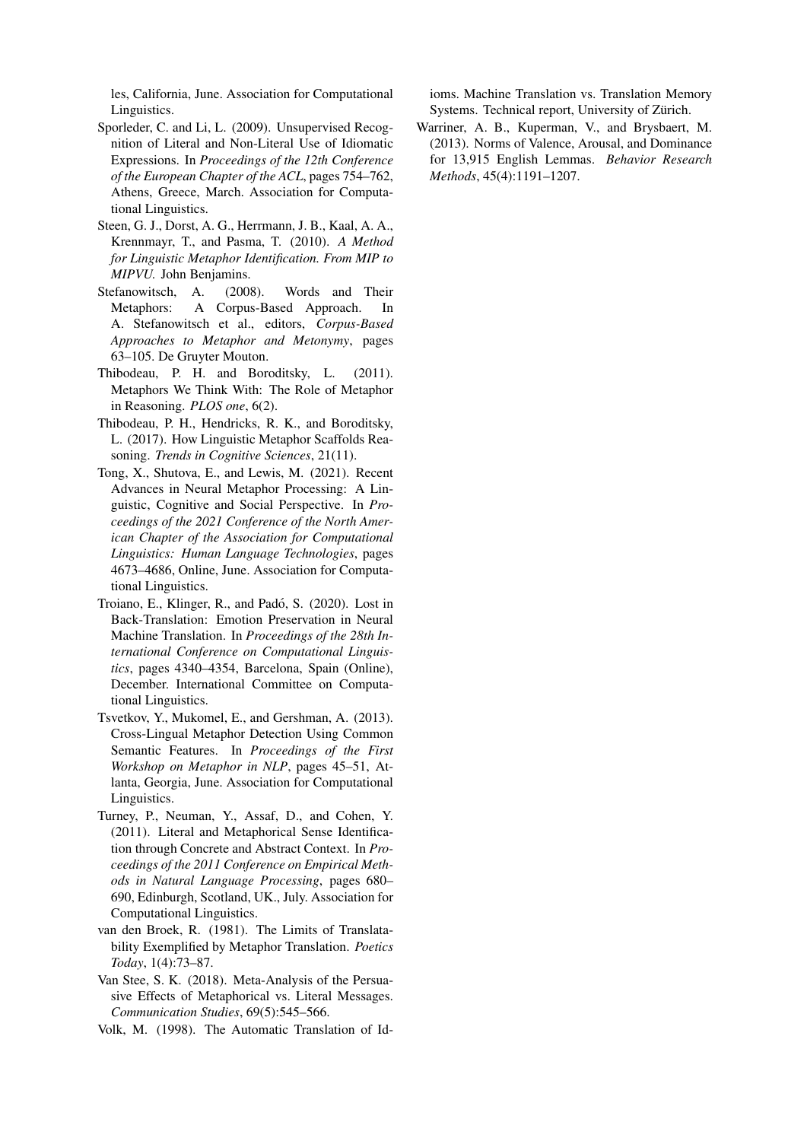les, California, June. Association for Computational Linguistics.

- <span id="page-10-6"></span>Sporleder, C. and Li, L. (2009). Unsupervised Recognition of Literal and Non-Literal Use of Idiomatic Expressions. In *Proceedings of the 12th Conference of the European Chapter of the ACL*, pages 754–762, Athens, Greece, March. Association for Computational Linguistics.
- <span id="page-10-5"></span>Steen, G. J., Dorst, A. G., Herrmann, J. B., Kaal, A. A., Krennmayr, T., and Pasma, T. (2010). *A Method for Linguistic Metaphor Identification. From MIP to MIPVU.* John Benjamins.
- <span id="page-10-1"></span>Stefanowitsch, A. (2008). Words and Their Metaphors: A Corpus-Based Approach. In A. Stefanowitsch et al., editors, *Corpus-Based Approaches to Metaphor and Metonymy*, pages 63–105. De Gruyter Mouton.
- <span id="page-10-2"></span>Thibodeau, P. H. and Boroditsky, L. (2011). Metaphors We Think With: The Role of Metaphor in Reasoning. *PLOS one*, 6(2).
- <span id="page-10-3"></span>Thibodeau, P. H., Hendricks, R. K., and Boroditsky, L. (2017). How Linguistic Metaphor Scaffolds Reasoning. *Trends in Cognitive Sciences*, 21(11).
- <span id="page-10-9"></span>Tong, X., Shutova, E., and Lewis, M. (2021). Recent Advances in Neural Metaphor Processing: A Linguistic, Cognitive and Social Perspective. In *Proceedings of the 2021 Conference of the North American Chapter of the Association for Computational Linguistics: Human Language Technologies*, pages 4673–4686, Online, June. Association for Computational Linguistics.
- <span id="page-10-12"></span>Troiano, E., Klinger, R., and Pado, S. (2020). Lost in ´ Back-Translation: Emotion Preservation in Neural Machine Translation. In *Proceedings of the 28th International Conference on Computational Linguistics*, pages 4340–4354, Barcelona, Spain (Online), December. International Committee on Computational Linguistics.
- <span id="page-10-8"></span>Tsvetkov, Y., Mukomel, E., and Gershman, A. (2013). Cross-Lingual Metaphor Detection Using Common Semantic Features. In *Proceedings of the First Workshop on Metaphor in NLP*, pages 45–51, Atlanta, Georgia, June. Association for Computational Linguistics.
- <span id="page-10-7"></span>Turney, P., Neuman, Y., Assaf, D., and Cohen, Y. (2011). Literal and Metaphorical Sense Identification through Concrete and Abstract Context. In *Proceedings of the 2011 Conference on Empirical Methods in Natural Language Processing*, pages 680– 690, Edinburgh, Scotland, UK., July. Association for Computational Linguistics.
- <span id="page-10-0"></span>van den Broek, R. (1981). The Limits of Translatability Exemplified by Metaphor Translation. *Poetics Today*, 1(4):73–87.
- <span id="page-10-4"></span>Van Stee, S. K. (2018). Meta-Analysis of the Persuasive Effects of Metaphorical vs. Literal Messages. *Communication Studies*, 69(5):545–566.
- <span id="page-10-11"></span>Volk, M. (1998). The Automatic Translation of Id-

ioms. Machine Translation vs. Translation Memory Systems. Technical report, University of Zürich.

<span id="page-10-10"></span>Warriner, A. B., Kuperman, V., and Brysbaert, M. (2013). Norms of Valence, Arousal, and Dominance for 13,915 English Lemmas. *Behavior Research Methods*, 45(4):1191–1207.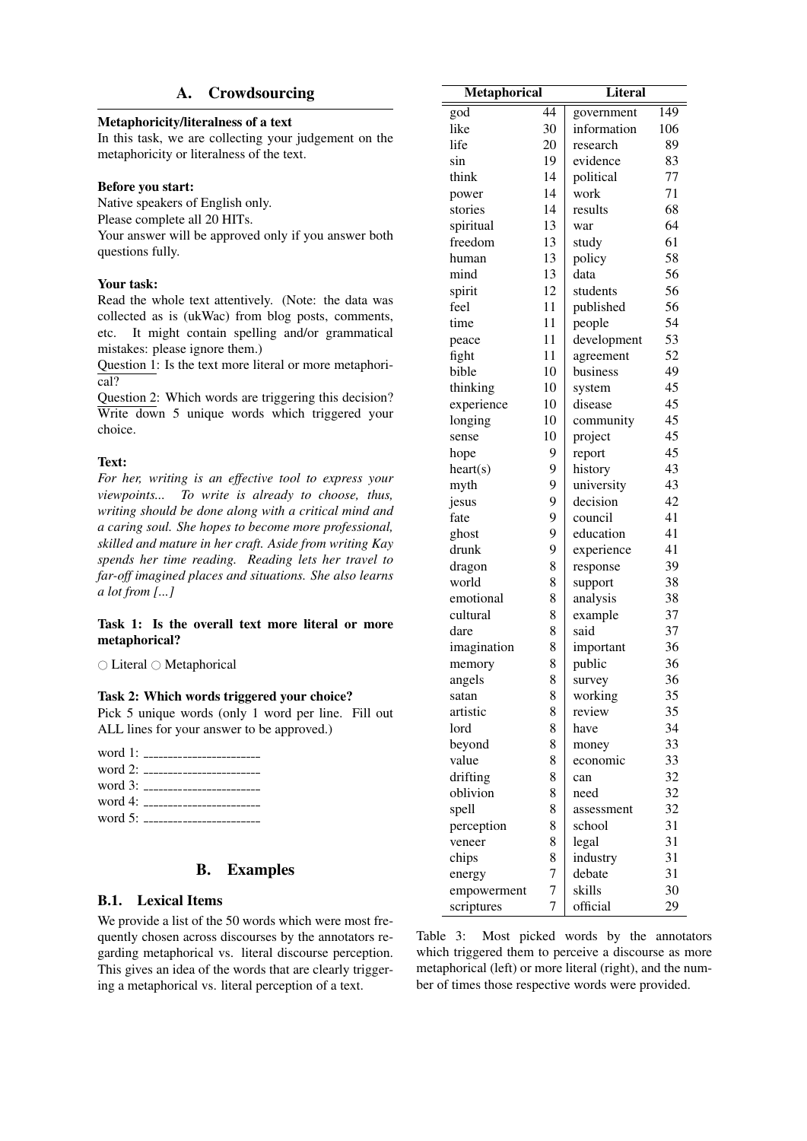# A. Crowdsourcing

#### <span id="page-11-0"></span>Metaphoricity/literalness of a text

In this task, we are collecting your judgement on the metaphoricity or literalness of the text.

## Before you start:

Native speakers of English only. Please complete all 20 HITs. Your answer will be approved only if you answer both questions fully.

#### Your task:

Read the whole text attentively. (Note: the data was collected as is (ukWac) from blog posts, comments, etc. It might contain spelling and/or grammatical mistakes: please ignore them.)

Question 1: Is the text more literal or more metaphorical?

Question 2: Which words are triggering this decision? Write down 5 unique words which triggered your choice.

#### Toxt.

*For her, writing is an effective tool to express your viewpoints... To write is already to choose, thus, writing should be done along with a critical mind and a caring soul. She hopes to become more professional, skilled and mature in her craft. Aside from writing Kay spends her time reading. Reading lets her travel to far-off imagined places and situations. She also learns a lot from [...]*

## Task 1: Is the overall text more literal or more metaphorical?

#### $\bigcirc$  Literal  $\bigcirc$  Metaphorical

## Task 2: Which words triggered your choice?

Pick 5 unique words (only 1 word per line. Fill out ALL lines for your answer to be approved.)

| word 1: ________________    |  |
|-----------------------------|--|
| word $2:$                   |  |
| word $3:$                   |  |
| word 4: ___________________ |  |
|                             |  |

# B. Examples

## B.1. Lexical Items

We provide a list of the 50 words which were most frequently chosen across discourses by the annotators regarding metaphorical vs. literal discourse perception. This gives an idea of the words that are clearly triggering a metaphorical vs. literal perception of a text.

| Metaphorical          |                | <b>Literal</b>       |     |
|-----------------------|----------------|----------------------|-----|
| god                   | 44             | government           | 149 |
| like                  | 30             | information          | 106 |
| life                  | 20             | research             | 89  |
| sin                   | 19             | evidence             | 83  |
| think                 | 14             | political            | 77  |
| power                 | 14             | work                 | 71  |
| stories               | 14             | results              | 68  |
| spiritual             | 13             | war                  | 64  |
| freedom               | 13             | study                | 61  |
| human                 | 13             | policy               | 58  |
| mind                  | 13             | data                 | 56  |
| spirit                | 12             | students             | 56  |
| feel                  | 11             | published            | 56  |
| time                  | 11             | people               | 54  |
| peace                 | 11             | development          | 53  |
| fight                 | 11             | agreement            | 52  |
| bible                 | 10             | business             | 49  |
| thinking              | 10             | system               | 45  |
| experience            | 10             | disease              | 45  |
| longing               | 10             | community            | 45  |
| sense                 | 10             | project              | 45  |
| hope                  | 9              | report               | 45  |
| heart(s)              | 9              | history              | 43  |
| myth                  | 9              | university           | 43  |
| jesus                 | 9              | decision             | 42  |
| fate                  | 9              | council              | 41  |
| ghost                 | 9              | education            | 41  |
| drunk                 | 9              | experience           | 41  |
|                       | 8              |                      | 39  |
| dragon<br>world       | 8              | response<br>support  | 38  |
| emotional             | 8              | analysis             | 38  |
| cultural              | 8              | example              | 37  |
| dare                  | 8              | said                 | 37  |
| imagination           | 8              |                      | 36  |
|                       | 8              | important<br>public  | 36  |
| memory<br>angels      | 8              | survey               | 36  |
| satan                 | 8              | working              | 35  |
| artistic              | 8              | review               | 35  |
| lord                  | 8              | have                 | 34  |
| beyond                | 8              | money                | 33  |
| value                 | 8              | economic             | 33  |
| drifting              | 8              | can                  | 32  |
| oblivion              | 8              | need                 | 32  |
| spell                 | 8              |                      | 32  |
|                       | 8              | assessment<br>school | 31  |
| perception            | 8              |                      | 31  |
| veneer<br>chips       | 8              | legal<br>industry    | 31  |
|                       | 7              | debate               | 31  |
| energy<br>empowerment | $\overline{7}$ | skills               | 30  |
| scriptures            | 7              | official             | 29  |
|                       |                |                      |     |

<span id="page-11-1"></span>Table 3: Most picked words by the annotators which triggered them to perceive a discourse as more metaphorical (left) or more literal (right), and the number of times those respective words were provided.